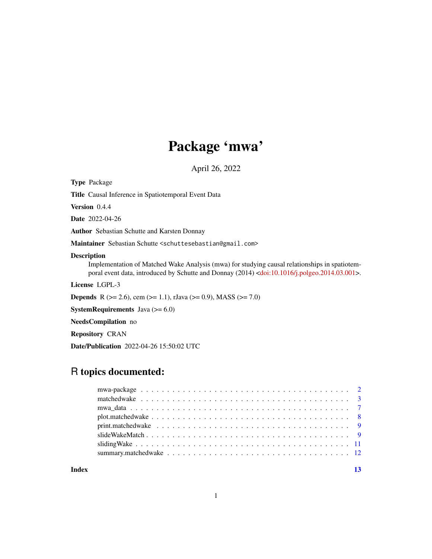# Package 'mwa'

April 26, 2022

<span id="page-0-0"></span>Type Package

Title Causal Inference in Spatiotemporal Event Data

Version 0.4.4

Date 2022-04-26

Author Sebastian Schutte and Karsten Donnay

Maintainer Sebastian Schutte <schuttesebastian@gmail.com>

# Description

Implementation of Matched Wake Analysis (mwa) for studying causal relationships in spatiotemporal event data, introduced by Schutte and Donnay (2014) [<doi:10.1016/j.polgeo.2014.03.001>](https://doi.org/10.1016/j.polgeo.2014.03.001).

License LGPL-3

**Depends** R ( $>= 2.6$ ), cem ( $>= 1.1$ ), rJava ( $>= 0.9$ ), MASS ( $>= 7.0$ )

**SystemRequirements** Java  $(>= 6.0)$ 

NeedsCompilation no

Repository CRAN

Date/Publication 2022-04-26 15:50:02 UTC

# R topics documented:

|       | matchedwake $\ldots$ $\ldots$ $\ldots$ $\ldots$ $\ldots$ $\ldots$ $\ldots$ $\ldots$ $\ldots$ $\ldots$ $\ldots$ $\ldots$ $\ldots$ $\ldots$ $\ldots$ $\frac{3}{4}$ |
|-------|------------------------------------------------------------------------------------------------------------------------------------------------------------------|
|       |                                                                                                                                                                  |
|       |                                                                                                                                                                  |
|       |                                                                                                                                                                  |
|       |                                                                                                                                                                  |
|       |                                                                                                                                                                  |
|       |                                                                                                                                                                  |
|       |                                                                                                                                                                  |
| Index |                                                                                                                                                                  |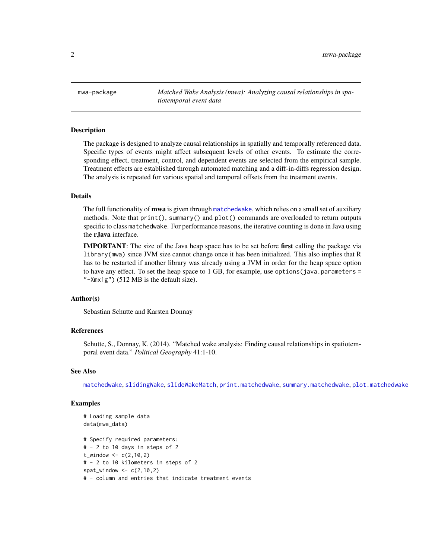<span id="page-1-1"></span><span id="page-1-0"></span>mwa-package *Matched Wake Analysis (mwa): Analyzing causal relationships in spatiotemporal event data*

#### **Description**

The package is designed to analyze causal relationships in spatially and temporally referenced data. Specific types of events might affect subsequent levels of other events. To estimate the corresponding effect, treatment, control, and dependent events are selected from the empirical sample. Treatment effects are established through automated matching and a diff-in-diffs regression design. The analysis is repeated for various spatial and temporal offsets from the treatment events.

#### Details

The full functionality of **mwa** is given through [matchedwake](#page-2-1), which relies on a small set of auxiliary methods. Note that print(), summary() and plot() commands are overloaded to return outputs specific to class matchedwake. For performance reasons, the iterative counting is done in Java using the rJava interface.

**IMPORTANT**: The size of the Java heap space has to be set before first calling the package via library(mwa) since JVM size cannot change once it has been initialized. This also implies that R has to be restarted if another library was already using a JVM in order for the heap space option to have any effect. To set the heap space to  $1$  GB, for example, use options (java.parameters = "-Xmx1g") (512 MB is the default size).

# Author(s)

Sebastian Schutte and Karsten Donnay

# References

Schutte, S., Donnay, K. (2014). "Matched wake analysis: Finding causal relationships in spatiotemporal event data." *Political Geography* 41:1-10.

#### See Also

[matchedwake](#page-2-1), [slidingWake](#page-10-1), [slideWakeMatch](#page-8-1), [print.matchedwake](#page-8-2), [summary.matchedwake](#page-11-1), [plot.matchedwake](#page-7-1)

# Examples

```
# Loading sample data
data(mwa_data)
# Specify required parameters:
# - 2 to 10 days in steps of 2
t_{width} < -c(2, 10, 2)# - 2 to 10 kilometers in steps of 2
spat_window < -c(2,10,2)# - column and entries that indicate treatment events
```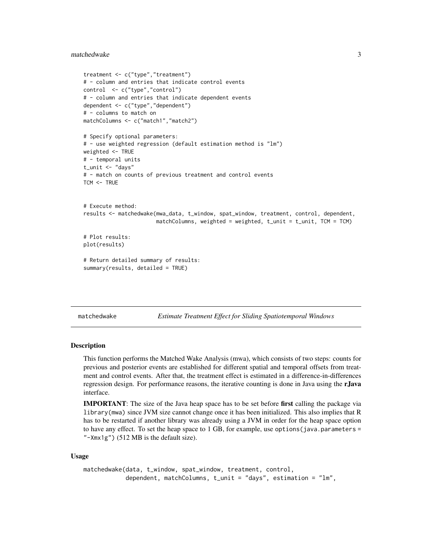# <span id="page-2-0"></span>matchedwake 3

```
treatment <- c("type","treatment")
# - column and entries that indicate control events
control <- c("type","control")
# - column and entries that indicate dependent events
dependent <- c("type","dependent")
# - columns to match on
matchColumns <- c("match1","match2")
# Specify optional parameters:
# - use weighted regression (default estimation method is "lm")
weighted <- TRUE
# - temporal units
t_unit <- "days"
# - match on counts of previous treatment and control events
TCM < - TRUE
# Execute method:
results <- matchedwake(mwa_data, t_window, spat_window, treatment, control, dependent,
                       matchColumns, weighted = weighted, t\_unit = t\_unit, TCM = TCM)
# Plot results:
plot(results)
# Return detailed summary of results:
summary(results, detailed = TRUE)
```
matchedwake *Estimate Treatment Effect for Sliding Spatiotemporal Windows*

#### **Description**

This function performs the Matched Wake Analysis (mwa), which consists of two steps: counts for previous and posterior events are established for different spatial and temporal offsets from treatment and control events. After that, the treatment effect is estimated in a difference-in-differences regression design. For performance reasons, the iterative counting is done in Java using the rJava interface.

IMPORTANT: The size of the Java heap space has to be set before first calling the package via library(mwa) since JVM size cannot change once it has been initialized. This also implies that R has to be restarted if another library was already using a JVM in order for the heap space option to have any effect. To set the heap space to  $1$  GB, for example, use options (java.parameters = "-Xmx1g") (512 MB is the default size).

#### Usage

```
matchedwake(data, t_window, spat_window, treatment, control,
           dependent, matchColumns, t_unit = "days", estimation = "lm",
```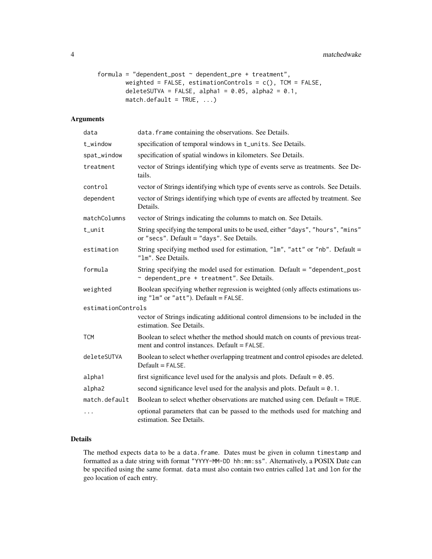```
formula = "dependent_post \sim dependent_pre + treatment",
        weighted = FALSE, estimationControls = c(), TCM = FALSE,
        deleteSUTVA = FALSE, alpha1 = 0.05, alpha2 = 0.1,
        match.default = TRUE, ...)
```
# Arguments

| data               | data. frame containing the observations. See Details.                                                                            |
|--------------------|----------------------------------------------------------------------------------------------------------------------------------|
| t_window           | specification of temporal windows in t_units. See Details.                                                                       |
| spat_window        | specification of spatial windows in kilometers. See Details.                                                                     |
| treatment          | vector of Strings identifying which type of events serve as treatments. See De-<br>tails.                                        |
| control            | vector of Strings identifying which type of events serve as controls. See Details.                                               |
| dependent          | vector of Strings identifying which type of events are affected by treatment. See<br>Details.                                    |
| matchColumns       | vector of Strings indicating the columns to match on. See Details.                                                               |
| t_unit             | String specifying the temporal units to be used, either "days", "hours", "mins"<br>or "secs". Default = "days". See Details.     |
| estimation         | String specifying method used for estimation, "lm", "att" or "nb". Default =<br>"1m". See Details.                               |
| formula            | String specifying the model used for estimation. Default = "dependent_post"<br>~ dependent_pre + treatment". See Details.        |
| weighted           | Boolean specifying whether regression is weighted (only affects estimations us-<br>ing "lm" or "att"). Default = FALSE.          |
| estimationControls |                                                                                                                                  |
|                    | vector of Strings indicating additional control dimensions to be included in the<br>estimation. See Details.                     |
| <b>TCM</b>         | Boolean to select whether the method should match on counts of previous treat-<br>ment and control instances. Default $=$ FALSE. |
| deleteSUTVA        | Boolean to select whether overlapping treatment and control episodes are deleted.<br>$Default = FALSE.$                          |
| alpha1             | first significance level used for the analysis and plots. Default = $0.05$ .                                                     |
| alpha2             | second significance level used for the analysis and plots. Default = $0.1$ .                                                     |
| match.default      | Boolean to select whether observations are matched using cem. Default = TRUE.                                                    |
| .                  | optional parameters that can be passed to the methods used for matching and<br>estimation. See Details.                          |

# Details

The method expects data to be a data.frame. Dates must be given in column timestamp and formatted as a date string with format "YYYY-MM-DD hh:mm:ss". Alternatively, a POSIX Date can be specified using the same format. data must also contain two entries called lat and lon for the geo location of each entry.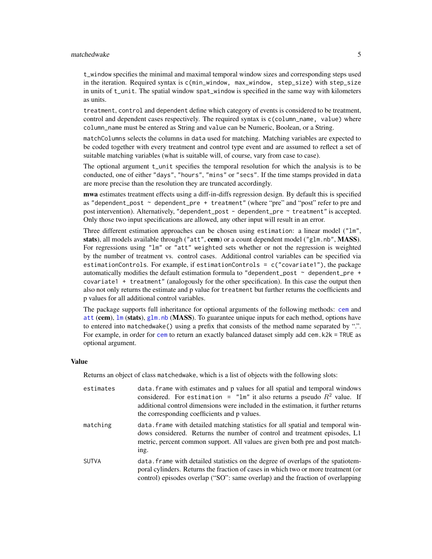### <span id="page-4-0"></span>matchedwake 5

t\_window specifies the minimal and maximal temporal window sizes and corresponding steps used in the iteration. Required syntax is c(min\_window, max\_window, step\_size) with step\_size in units of t\_unit. The spatial window spat\_window is specified in the same way with kilometers as units.

treatment, control and dependent define which category of events is considered to be treatment, control and dependent cases respectively. The required syntax is  $c$  (column\_name, value) where column\_name must be entered as String and value can be Numeric, Boolean, or a String.

matchColumns selects the columns in data used for matching. Matching variables are expected to be coded together with every treatment and control type event and are assumed to reflect a set of suitable matching variables (what is suitable will, of course, vary from case to case).

The optional argument t\_unit specifies the temporal resolution for which the analysis is to be conducted, one of either "days", "hours", "mins" or "secs". If the time stamps provided in data are more precise than the resolution they are truncated accordingly.

mwa estimates treatment effects using a diff-in-diffs regression design. By default this is specified as "dependent\_post  $\sim$  dependent\_pre + treatment" (where "pre" and "post" refer to pre and post intervention). Alternatively, "dependent\_post - dependent\_pre ~ treatment" is accepted. Only those two input specifications are allowed, any other input will result in an error.

Three different estimation approaches can be chosen using estimation: a linear model ("lm", stats), all models available through ("att", cem) or a count dependent model ("glm.nb", MASS). For regressions using "lm" or "att" weighted sets whether or not the regression is weighted by the number of treatment vs. control cases. Additional control variables can be specified via estimationControls. For example, if estimationControls =  $c("covariate1")$ , the package automatically modifies the default estimation formula to "dependent\_post  $\sim$  dependent\_pre + covariate1 + treatment" (analogously for the other specification). In this case the output then also not only returns the estimate and p value for treatment but further returns the coefficients and p values for all additional control variables.

The package supports full inheritance for optional arguments of the following methods: [cem](#page-0-0) and [att](#page-0-0) (cem), [lm](#page-0-0) (stats), [glm.nb](#page-0-0) (MASS). To guarantee unique inputs for each method, options have to entered into matchedwake() using a prefix that consists of the method name separated by ".". For example, in order for [cem](#page-0-0) to return an exactly balanced dataset simply add cem. k2k = TRUE as optional argument.

# Value

Returns an object of class matchedwake, which is a list of objects with the following slots:

| estimates    | data. frame with estimates and p values for all spatial and temporal windows<br>considered. For estimation = "lm" it also returns a pseudo $R^2$ value. If<br>additional control dimensions were included in the estimation, it further returns<br>the corresponding coefficients and p values. |
|--------------|-------------------------------------------------------------------------------------------------------------------------------------------------------------------------------------------------------------------------------------------------------------------------------------------------|
| matching     | data. Frame with detailed matching statistics for all spatial and temporal win-<br>dows considered. Returns the number of control and treatment episodes, L1<br>metric, percent common support. All values are given both pre and post match-<br>ing.                                           |
| <b>SUTVA</b> | data. frame with detailed statistics on the degree of overlaps of the spatiotem-<br>poral cylinders. Returns the fraction of cases in which two or more treatment (or<br>control) episodes overlap ("SO": same overlap) and the fraction of overlapping                                         |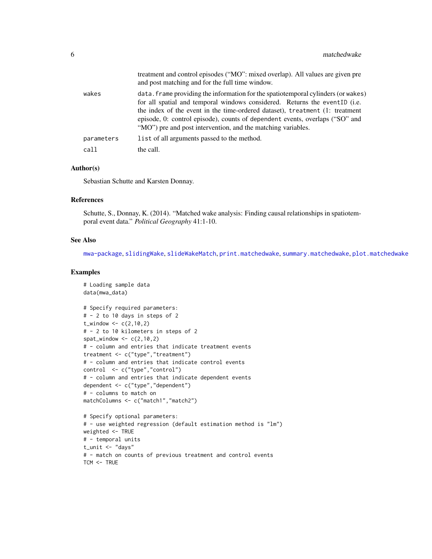<span id="page-5-0"></span>

|            | treatment and control episodes ("MO": mixed overlap). All values are given pre<br>and post matching and for the full time window.                                                                                                                                                                                                                                                               |
|------------|-------------------------------------------------------------------------------------------------------------------------------------------------------------------------------------------------------------------------------------------------------------------------------------------------------------------------------------------------------------------------------------------------|
| wakes      | data. Frame providing the information for the spatiotemporal cylinders (or wakes)<br>for all spatial and temporal windows considered. Returns the eventID (i.e.<br>the index of the event in the time-ordered dataset), treatment (1: treatment<br>episode, 0: control episode), counts of dependent events, overlaps ("SO" and<br>"MO") pre and post intervention, and the matching variables. |
| parameters | list of all arguments passed to the method.                                                                                                                                                                                                                                                                                                                                                     |
| call       | the call.                                                                                                                                                                                                                                                                                                                                                                                       |

# Author(s)

Sebastian Schutte and Karsten Donnay.

#### References

Schutte, S., Donnay, K. (2014). "Matched wake analysis: Finding causal relationships in spatiotemporal event data." *Political Geography* 41:1-10.

#### See Also

[mwa-package](#page-1-1), [slidingWake](#page-10-1), [slideWakeMatch](#page-8-1), [print.matchedwake](#page-8-2), [summary.matchedwake](#page-11-1), [plot.matchedwake](#page-7-1)

# Examples

```
# Loading sample data
data(mwa_data)
# Specify required parameters:
# - 2 to 10 days in steps of 2
t_window \leq c(2, 10, 2)# - 2 to 10 kilometers in steps of 2
spat_window \leq c(2,10,2)# - column and entries that indicate treatment events
treatment <- c("type","treatment")
# - column and entries that indicate control events
control <- c("type","control")
# - column and entries that indicate dependent events
dependent <- c("type","dependent")
# - columns to match on
matchColumns <- c("match1","match2")
# Specify optional parameters:
# - use weighted regression (default estimation method is "lm")
weighted <- TRUE
# - temporal units
t_unit <- "days"
# - match on counts of previous treatment and control events
TCM <- TRUE
```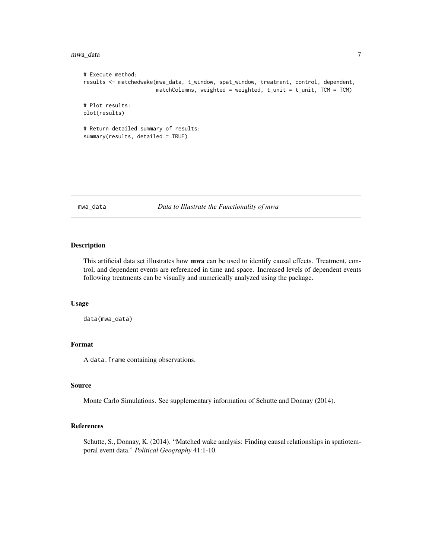#### <span id="page-6-0"></span>mwa\_data 7

```
# Execute method:
results <- matchedwake(mwa_data, t_window, spat_window, treatment, control, dependent,
                       matchColumns, weighted = weighted, t\_unit = t\_unit, TCM = TCM)
# Plot results:
plot(results)
# Return detailed summary of results:
summary(results, detailed = TRUE)
```
#### mwa\_data *Data to Illustrate the Functionality of mwa*

#### Description

This artificial data set illustrates how **mwa** can be used to identify causal effects. Treatment, control, and dependent events are referenced in time and space. Increased levels of dependent events following treatments can be visually and numerically analyzed using the package.

#### Usage

```
data(mwa_data)
```
#### Format

A data.frame containing observations.

#### Source

Monte Carlo Simulations. See supplementary information of Schutte and Donnay (2014).

#### References

Schutte, S., Donnay, K. (2014). "Matched wake analysis: Finding causal relationships in spatiotemporal event data." *Political Geography* 41:1-10.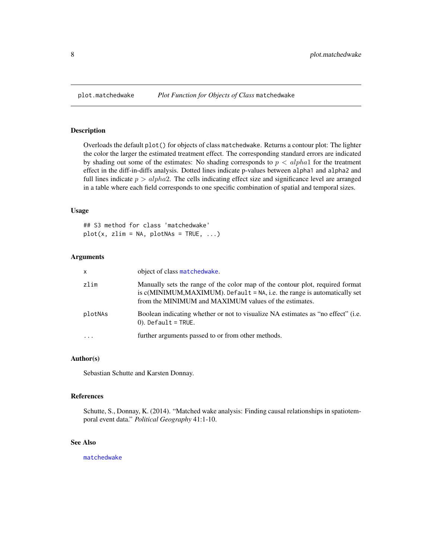#### Description

Overloads the default plot() for objects of class matchedwake. Returns a contour plot: The lighter the color the larger the estimated treatment effect. The corresponding standard errors are indicated by shading out some of the estimates: No shading corresponds to  $p < alpha1$  for the treatment effect in the diff-in-diffs analysis. Dotted lines indicate p-values between alpha1 and alpha2 and full lines indicate  $p > alpha2$ . The cells indicating effect size and significance level are arranged in a table where each field corresponds to one specific combination of spatial and temporal sizes.

#### Usage

## S3 method for class 'matchedwake'  $plot(x, zlim = NA, plotNAs = TRUE, ...)$ 

#### Arguments

| x        | object of class matchedwake.                                                                                                                                                                                           |
|----------|------------------------------------------------------------------------------------------------------------------------------------------------------------------------------------------------------------------------|
| zlim     | Manually sets the range of the color map of the contour plot, required format<br>is $c(MINIMUM, MAXIMUM)$ . Default = NA, i.e. the range is automatically set<br>from the MINIMUM and MAXIMUM values of the estimates. |
| plotNAs  | Boolean indicating whether or not to visualize NA estimates as "no effect" (i.e.<br>$(0)$ . Default = TRUE.                                                                                                            |
| $\cdots$ | further arguments passed to or from other methods.                                                                                                                                                                     |

#### Author(s)

Sebastian Schutte and Karsten Donnay.

#### References

Schutte, S., Donnay, K. (2014). "Matched wake analysis: Finding causal relationships in spatiotemporal event data." *Political Geography* 41:1-10.

# See Also

[matchedwake](#page-2-1)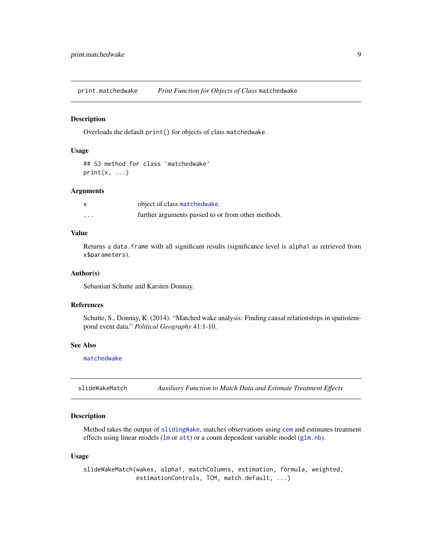<span id="page-8-2"></span><span id="page-8-0"></span>print.matchedwake *Print Function for Objects of Class* matchedwake

#### Description

Overloads the default print() for objects of class matchedwake.

#### Usage

```
## S3 method for class 'matchedwake'
print(x, \ldots)
```
#### Arguments

|   | object of class matchedwake.                       |
|---|----------------------------------------------------|
| . | further arguments passed to or from other methods. |

# Value

Returns a data.frame with all significant results (significance level is alpha1 as retrieved from x\$parameters).

#### Author(s)

Sebastian Schutte and Karsten Donnay.

#### References

Schutte, S., Donnay, K. (2014). "Matched wake analysis: Finding causal relationships in spatiotemporal event data." *Political Geography* 41:1-10.

# See Also

[matchedwake](#page-2-1)

<span id="page-8-1"></span>slideWakeMatch *Auxiliary Function to Match Data and Estimate Treatment Effects*

# Description

Method takes the output of [slidingWake](#page-10-1), matches observations using [cem](#page-0-0) and estimates treatment effects using linear models ([lm](#page-0-0) or [att](#page-0-0)) or a count dependent variable model ([glm.nb](#page-0-0)).

#### Usage

slideWakeMatch(wakes, alpha1, matchColumns, estimation, formula, weighted, estimationControls, TCM, match.default, ...)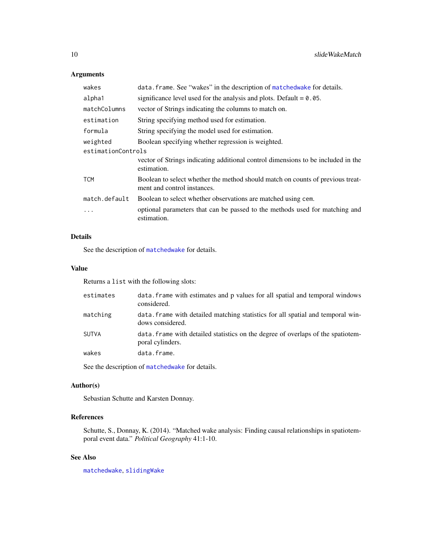# Arguments

| wakes              | data. frame. See "wakes" in the description of matchedwake for details.                                       |
|--------------------|---------------------------------------------------------------------------------------------------------------|
| alpha1             | significance level used for the analysis and plots. Default $= 0.05$ .                                        |
| matchColumns       | vector of Strings indicating the columns to match on.                                                         |
| estimation         | String specifying method used for estimation.                                                                 |
| formula            | String specifying the model used for estimation.                                                              |
| weighted           | Boolean specifying whether regression is weighted.                                                            |
| estimationControls |                                                                                                               |
|                    | vector of Strings indicating additional control dimensions to be included in the<br>estimation.               |
| <b>TCM</b>         | Boolean to select whether the method should match on counts of previous treat-<br>ment and control instances. |
| match.default      | Boolean to select whether observations are matched using cem.                                                 |
| $\cdots$           | optional parameters that can be passed to the methods used for matching and<br>estimation.                    |

# Details

See the description of [matchedwake](#page-2-1) for details.

# Value

Returns a list with the following slots:

| estimates | data frame with estimates and p values for all spatial and temporal windows<br>considered.           |
|-----------|------------------------------------------------------------------------------------------------------|
| matching  | data. frame with detailed matching statistics for all spatial and temporal win-<br>dows considered.  |
| SUTVA     | data, frame with detailed statistics on the degree of overlaps of the spatiotem-<br>poral cylinders. |
| wakes     | data.frame.                                                                                          |

See the description of [matchedwake](#page-2-1) for details.

# Author(s)

Sebastian Schutte and Karsten Donnay.

# References

Schutte, S., Donnay, K. (2014). "Matched wake analysis: Finding causal relationships in spatiotemporal event data." *Political Geography* 41:1-10.

# See Also

[matchedwake](#page-2-1), [slidingWake](#page-10-1)

<span id="page-9-0"></span>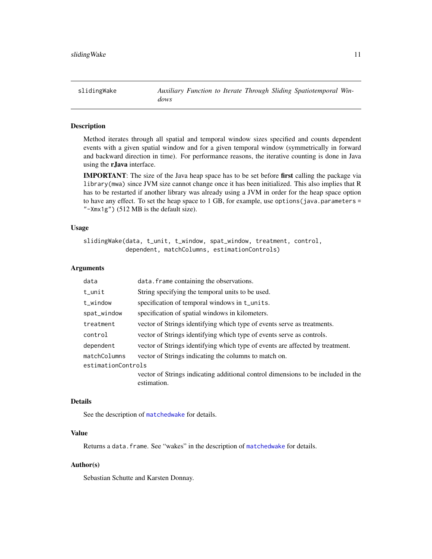<span id="page-10-1"></span><span id="page-10-0"></span>slidingWake *Auxiliary Function to Iterate Through Sliding Spatiotemporal Windows*

# Description

Method iterates through all spatial and temporal window sizes specified and counts dependent events with a given spatial window and for a given temporal window (symmetrically in forward and backward direction in time). For performance reasons, the iterative counting is done in Java using the rJava interface.

IMPORTANT: The size of the Java heap space has to be set before first calling the package via library(mwa) since JVM size cannot change once it has been initialized. This also implies that R has to be restarted if another library was already using a JVM in order for the heap space option to have any effect. To set the heap space to  $1$  GB, for example, use options (java.parameters = "-Xmx1g") (512 MB is the default size).

#### Usage

```
slidingWake(data, t_unit, t_window, spat_window, treatment, control,
           dependent, matchColumns, estimationControls)
```
#### Arguments

| data               | data. frame containing the observations.                                                        |
|--------------------|-------------------------------------------------------------------------------------------------|
| $t_$ unit          | String specifying the temporal units to be used.                                                |
| t_window           | specification of temporal windows in t_units.                                                   |
| spat_window        | specification of spatial windows in kilometers.                                                 |
| treatment          | vector of Strings identifying which type of events serve as treatments.                         |
| control            | vector of Strings identifying which type of events serve as controls.                           |
| dependent          | vector of Strings identifying which type of events are affected by treatment.                   |
| matchColumns       | vector of Strings indicating the columns to match on.                                           |
| estimationControls |                                                                                                 |
|                    | vector of Strings indicating additional control dimensions to be included in the<br>estimation. |

# Details

See the description of [matchedwake](#page-2-1) for details.

# Value

Returns a data.frame. See "wakes" in the description of [matchedwake](#page-2-1) for details.

#### Author(s)

Sebastian Schutte and Karsten Donnay.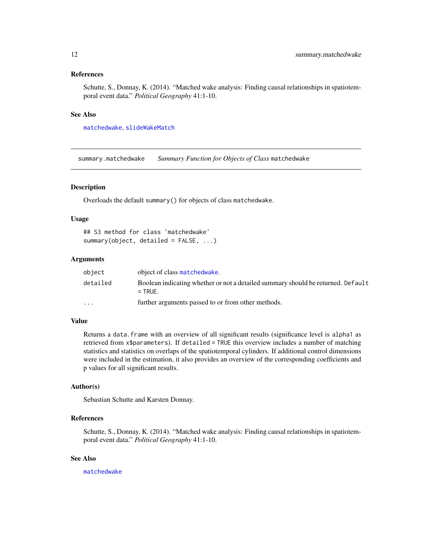#### <span id="page-11-0"></span>References

Schutte, S., Donnay, K. (2014). "Matched wake analysis: Finding causal relationships in spatiotemporal event data." *Political Geography* 41:1-10.

# See Also

[matchedwake](#page-2-1), [slideWakeMatch](#page-8-1)

<span id="page-11-1"></span>summary.matchedwake *Summary Function for Objects of Class* matchedwake

# Description

Overloads the default summary() for objects of class matchedwake.

### Usage

```
## S3 method for class 'matchedwake'
summary(object, detailed = FALSE, ...)
```
#### Arguments

| object   | object of class matchedwake.                                                                  |
|----------|-----------------------------------------------------------------------------------------------|
| detailed | Boolean indicating whether or not a detailed summary should be returned. Default<br>$=$ TRUF. |
| $\cdots$ | further arguments passed to or from other methods.                                            |

#### Value

Returns a data.frame with an overview of all significant results (significance level is alpha1 as retrieved from x\$parameters). If detailed = TRUE this overview includes a number of matching statistics and statistics on overlaps of the spatiotemporal cylinders. If additional control dimensions were included in the estimation, it also provides an overview of the corresponding coefficients and p values for all significant results.

# Author(s)

Sebastian Schutte and Karsten Donnay.

# References

Schutte, S., Donnay, K. (2014). "Matched wake analysis: Finding causal relationships in spatiotemporal event data." *Political Geography* 41:1-10.

# See Also

[matchedwake](#page-2-1)